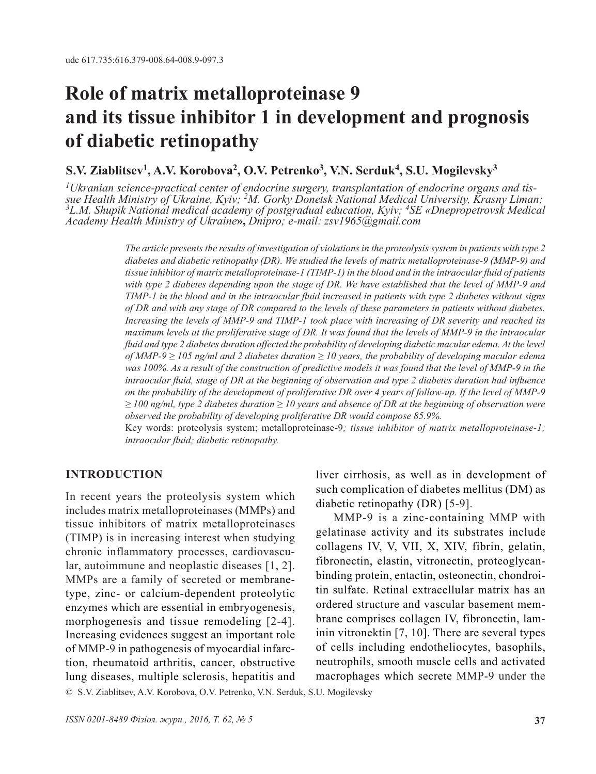# **Role of matrix metalloproteinase 9 and its tissue inhibitor 1 in development and prognosis of diabetic retinopathy**

## **S.V. Ziablitsev1, A.V. Korobova<sup>2</sup>, O.V. Petrenko3, V.N. Serduk4, S.U. Mogilevsky3**

<sup>1</sup>Ukranian science-practical center of endocrine surgery, transplantation of endocrine organs and tis-<br>sue Health Ministry of Ukraine, Kyiv; <sup>2</sup>M. Gorky Donetsk National Medical University, Krasny Liman;<br><sup>3</sup>L.M. Shupik Na *Academy Health Ministry of Ukraine***»,** *Dnipro; e-mail: zsv1965@gmail.com*

> *The article presents the results of investigation of violations in the proteolysis system in patients with type 2 diabetes and diabetic retinopathy (DR). We studied the levels of matrix metalloproteinase-9 (MMP-9) and tissue inhibitor of matrix metalloproteinase-1 (TIMP-1) in the blood and in the intraocular fluid of patients with type 2 diabetes depending upon the stage of DR. We have established that the level of MMP-9 and TIMP-1 in the blood and in the intraocular fluid increased in patients with type 2 diabetes without signs of DR and with any stage of DR compared to the levels of these parameters in patients without diabetes. Increasing the levels of MMP-9 and TIMP-1 took place with increasing of DR severity and reached its maximum levels at the proliferative stage of DR. It was found that the levels of MMP-9 in the intraocular fluid and type 2 diabetes duration affected the probability of developing diabetic macular edema. At the level of MMP-9 ≥ 105 ng/ml and 2 diabetes duration ≥ 10 years, the probability of developing macular edema*  was 100%. As a result of the construction of predictive models it was found that the level of MMP-9 in the *intraocular fluid, stage of DR at the beginning of observation and type 2 diabetes duration had influence on the probability of the development of proliferative DR over 4 years of follow-up. If the level of MMP-9 ≥ 100 ng/ml, type 2 diabetes duration ≥ 10 years and absence of DR at the beginning of observation were observed the probability of developing proliferative DR would compose 85.9%.*

> Key words: proteolysis system; metalloproteinase-9*; tissue inhibitor of matrix metalloproteinase-1; intraocular fluid; diabetic retinopathy.*

#### **INTRODUCTION**

In recent years the proteolysis system which includes matrix metalloproteinases (MMPs) and tissue inhibitors of matrix metalloproteinases (TIMP) is in increasing interest when studying chronic inflammatory processes, cardiovascular, autoimmune and neoplastic diseases [1, 2]. MMPs are a family of secreted or membranetype, zinc- or calcium-dependent proteolytic enzymes which are essential in embryogenesis, morphogenesis and tissue remodeling [2-4]. Increasing evidences suggest an important role of MMP-9 in pathogenesis of myocardial infarction, rheumatoid arthritis, cancer, obstructive lung diseases, multiple sclerosis, hepatitis and liver cirrhosis, as well as in development of such complication of diabetes mellitus (DM) as diabetic retinopathy (DR) [5-9].

MMP-9 is a zinc-containing MMP with gelatinase activity and its substrates include collagens IV, V, VII, X, XIV, fibrin, gelatin, fibronectin, elastin, vitronectin, proteoglycanbinding protein, entactin, osteonectin, chondroitin sulfate. Retinal extracellular matrix has an ordered structure and vascular basement membrane comprises collagen IV, fibronectin, laminin vitronektin [7, 10]. There are several types of cells including endotheliocytes, basophils, neutrophils, smooth muscle cells and activated macrophages which secrete MMP-9 under the

© S.V. Ziablitsev, A.V. Korobova, O.V. Petrenko, V.N. Serduk, S.U. Mogilevsky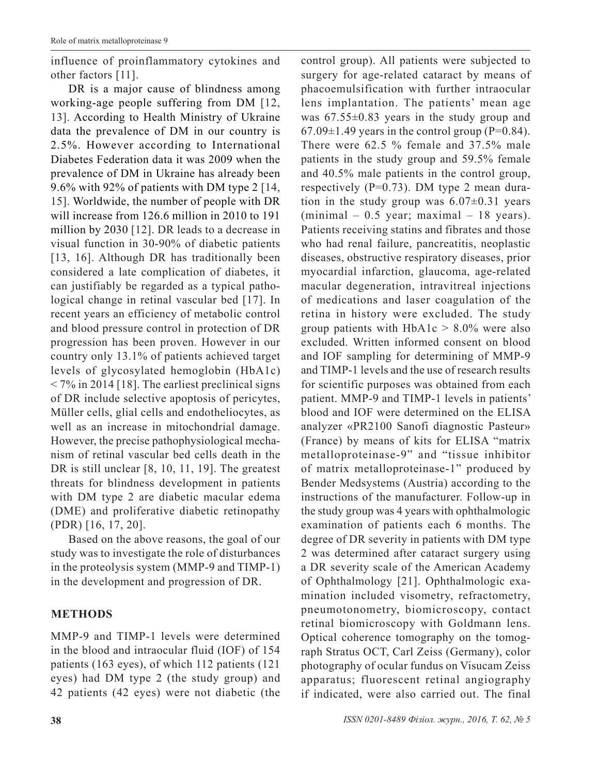influence of proinflammatory cytokines and other factors [11].

DR is a major cause of blindness among working-age people suffering from DM [12, 13]. According to Health Ministry of Ukraine data the prevalence of DM in our country is 2.5%. However according to International Diabetes Federation data it was 2009 when the prevalence of DM in Ukraine has already been 9.6% with 92% of patients with DM type 2 [14, 15]. Worldwide, the number of people with DR will increase from 126.6 million in 2010 to 191 million by 2030 [12]. DR leads to a decrease in visual function in 30-90% of diabetic patients [13, 16]. Although DR has traditionally been considered a late complication of diabetes, it can justifiably be regarded as a typical pathological change in retinal vascular bed [17]. In recent years an efficiency of metabolic control and blood pressure control in protection of DR progression has been proven. However in our country only 13.1% of patients achieved target levels of glycosylated hemoglobin (HbA1c)  $<$  7% in 2014 [18]. The earliest preclinical signs of DR include selective apoptosis of pericytes, Müller cells, glial cells and endotheliocytes, as well as an increase in mitochondrial damage. However, the precise pathophysiological mechanism of retinal vascular bed cells death in the DR is still unclear [8, 10, 11, 19]. The greatest threats for blindness development in patients with DM type 2 are diabetic macular edema (DME) and proliferative diabetic retinopathy (PDR) [16, 17, 20].

Based on the above reasons, the goal of our study was to investigate the role of disturbances in the proteolysis system (MMP-9 and TIMP-1) in the development and progression of DR.

## **METHODS**

MMP-9 and TIMP-1 levels were determined in the blood and intraocular fluid (IOF) of 154 patients (163 eyes), of which 112 patients (121 eyes) had DM type 2 (the study group) and 42 patients (42 eyes) were not diabetic (the surgery for age-related cataract by means of phacoemulsification with further intraocular lens implantation. The patients' mean age was 67.55±0.83 years in the study group and  $67.09\pm1.49$  years in the control group (P=0.84). There were 62.5 % female and 37.5% male patients in the study group and 59.5% female and 40.5% male patients in the control group, respectively (P=0.73). DM type 2 mean duration in the study group was  $6.07 \pm 0.31$  years  $(\text{minimal} - 0.5 \text{ year}; \text{maximal} - 18 \text{ years}).$ Patients receiving statins and fibrates and those who had renal failure, pancreatitis, neoplastic diseases, obstructive respiratory diseases, prior myocardial infarction, glaucoma, age-related macular degeneration, intravitreal injections of medications and laser coagulation of the retina in history were excluded. The study group patients with  $HbA1c > 8.0\%$  were also excluded. Written informed consent on blood and IOF sampling for determining of MMP-9 and TIMP-1 levels and the use of research results for scientific purposes was obtained from each patient. MMP-9 and TIMP-1 levels in patients' blood and IOF were determined on the ELISA analyzer «PR2100 Sanofi diagnostic Pasteur» (France) by means of kits for ELISA "matrix metalloproteinase-9" and "tissue inhibitor of matrix metalloproteinase-1" produced by Bender Medsystems (Austria) according to the instructions of the manufacturer. Follow-up in the study group was 4 years with ophthalmologic examination of patients each 6 months. The degree of DR severity in patients with DM type 2 was determined after cataract surgery using a DR severity scale of the American Academy of Ophthalmology [21]. Ophthalmologic examination included visometry, refractometry, pneumotonometry, biomicroscopy, contact retinal biomicroscopy with Goldmann lens. Optical coherence tomography on the tomograph Stratus OCT, Carl Zeiss (Germany), color photography of ocular fundus on Visucam Zeiss apparatus; fluorescent retinal angiography

control group). All patients were subjected to

if indicated, were also carried out. The final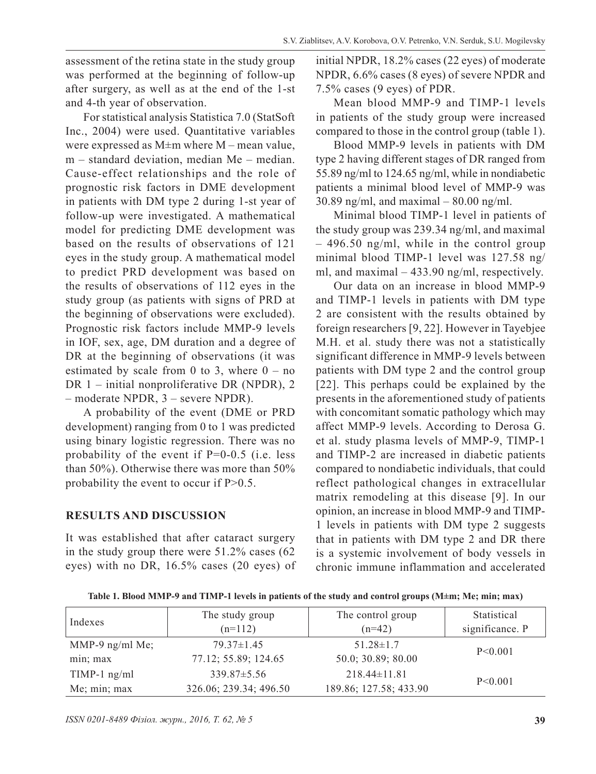assessment of the retina state in the study group was performed at the beginning of follow-up after surgery, as well as at the end of the 1-st and 4-th year of observation.

For statistical analysis Statistica 7.0 (StatSoft Inc., 2004) were used. Quantitative variables were expressed as  $M \pm m$  where  $M$  – mean value, m – standard deviation, median Me – median. Cause-effect relationships and the role of prognostic risk factors in DME development in patients with DM type 2 during 1-st year of follow-up were investigated. A mathematical model for predicting DME development was based on the results of observations of 121 eyes in the study group. A mathematical model to predict PRD development was based on the results of observations of 112 eyes in the study group (as patients with signs of PRD at the beginning of observations were excluded). Prognostic risk factors include MMP-9 levels in IOF, sex, age, DM duration and a degree of DR at the beginning of observations (it was estimated by scale from 0 to 3, where  $0 - no$ DR 1 – initial nonproliferative DR (NPDR), 2 – moderate NPDR, 3 – severe NPDR).

A probability of the event (DME or PRD development) ranging from 0 to 1 was predicted using binary logistic regression. There was no probability of the event if P=0-0.5 (i.e. less than 50%). Otherwise there was more than 50% probability the event to occur if  $P>0.5$ .

#### **RESULTS AND DISCUSSION**

It was established that after cataract surgery in the study group there were 51.2% cases (62 eyes) with no DR, 16.5% cases (20 eyes) of initial NPDR, 18.2% cases (22 eyes) of moderate NPDR, 6.6% cases (8 eyes) of severe NPDR and 7.5% cases (9 eyes) of PDR.

Mean blood MMP-9 and TIMP-1 levels in patients of the study group were increased compared to those in the control group (table 1).

Blood MMP-9 levels in patients with DM type 2 having different stages of DR ranged from 55.89 ng/ml to 124.65 ng/ml, while in nondiabetic patients a minimal blood level of MMP-9 was 30.89 ng/ml, and maximal  $-80.00$  ng/ml.

Minimal blood TIMP-1 level in patients of the study group was 239.34 ng/ml, and maximal – 496.50 ng/ml, while in the control group minimal blood TIMP-1 level was 127.58 ng/ ml, and maximal – 433.90 ng/ml, respectively.

Our data on an increase in blood MMP-9 and TIMP-1 levels in patients with DM type 2 are consistent with the results obtained by foreign researchers [9, 22]. However in Tayebjee M.H. et al. study there was not a statistically significant difference in MMP-9 levels between patients with DM type 2 and the control group [22]. This perhaps could be explained by the presents in the aforementioned study of patients with concomitant somatic pathology which may affect MMP-9 levels. According to Derosa G. et al. study plasma levels of MMP-9, TIMP-1 and TIMP-2 are increased in diabetic patients compared to nondiabetic individuals, that could reflect pathological changes in extracellular matrix remodeling at this disease [9]. In our opinion, an increase in blood MMP-9 and TIMP-1 levels in patients with DM type 2 suggests that in patients with DM type 2 and DR there is a systemic involvement of body vessels in chronic immune inflammation and accelerated

**Table 1. Blood MMP-9 and TIMP-1 levels in patients of the study and control groups (M±m; Me; min; max)**

| Indexes         | The study group<br>$(n=112)$ | The control group<br>$(n=42)$ | Statistical<br>significance. P |  |
|-----------------|------------------------------|-------------------------------|--------------------------------|--|
| MMP-9 ng/ml Me; | $79.37 \pm 1.45$             | $51.28 \pm 1.7$               | P < 0.001                      |  |
| min; max        | 77.12; 55.89; 124.65         | 50.0; 30.89; 80.00            |                                |  |
| $TIMP-1$ ng/ml  | $339.87 \pm 5.56$            | $218.44 \pm 11.81$            | P < 0.001                      |  |
| Me; min; max    | 326.06; 239.34; 496.50       | 189.86; 127.58; 433.90        |                                |  |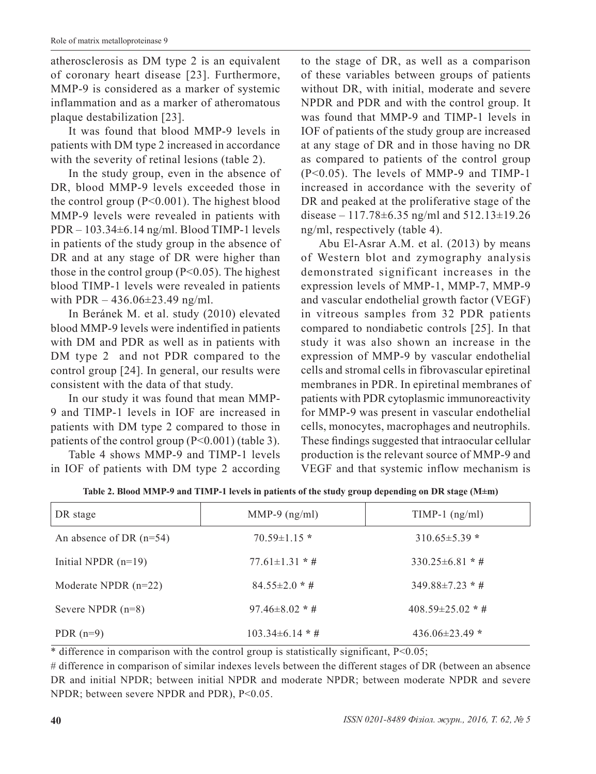atherosclerosis as DM type 2 is an equivalent of coronary heart disease [23]. Furthermore, MMP-9 is considered as a marker of systemic inflammation and as a marker of atheromatous plaque destabilization [23].

It was found that blood MMP-9 levels in patients with DM type 2 increased in accordance with the severity of retinal lesions (table 2).

In the study group, even in the absence of DR, blood MMP-9 levels exceeded those in the control group (P<0.001). The highest blood MMP-9 levels were revealed in patients with PDR – 103.34±6.14 ng/ml. Blood TIMP-1 levels in patients of the study group in the absence of DR and at any stage of DR were higher than those in the control group  $(P<0.05)$ . The highest blood TIMP-1 levels were revealed in patients with PDR  $-436.06 \pm 23.49$  ng/ml.

In Beránek M. et al. study (2010) elevated blood MMP-9 levels were indentified in patients with DM and PDR as well as in patients with DM type 2 and not PDR compared to the control group [24]. In general, our results were consistent with the data of that study.

In our study it was found that mean MMP-9 and TIMP-1 levels in IOF are increased in patients with DM type 2 compared to those in patients of the control group (P<0.001) (table 3).

Table 4 shows MMP-9 and TIMP-1 levels in IOF of patients with DM type 2 according to the stage of DR, as well as a comparison of these variables between groups of patients without DR, with initial, moderate and severe NPDR and PDR and with the control group. It was found that MMP-9 and TIMP-1 levels in IOF of patients of the study group are increased at any stage of DR and in those having no DR as compared to patients of the control group (P<0.05). The levels of MMP-9 and TIMP-1 increased in accordance with the severity of DR and peaked at the proliferative stage of the disease – 117.78±6.35 ng/ml and 512.13±19.26 ng/ml, respectively (table 4).

Abu El-Asrar A.M. et al. (2013) by means of Western blot and zymography analysis demonstrated significant increases in the expression levels of MMP-1, MMP-7, MMP-9 and vascular endothelial growth factor (VEGF) in vitreous samples from 32 PDR patients compared to nondiabetic controls [25]. In that study it was also shown an increase in the expression of MMP-9 by vascular endothelial cells and stromal cells in fibrovascular epiretinal membranes in PDR. In epiretinal membranes of patients with PDR cytoplasmic immunoreactivity for MMP-9 was present in vascular endothelial cells, monocytes, macrophages and neutrophils. These findings suggested that intraocular cellular production is the relevant source of MMP-9 and VEGF and that systemic inflow mechanism is

| DR stage                  | MMP-9 $(ng/ml)$      | $TIMP-1$ (ng/ml)       |
|---------------------------|----------------------|------------------------|
| An absence of DR $(n=54)$ | $70.59 \pm 1.15$ *   | $310.65 \pm 5.39$ *    |
| Initial NPDR $(n=19)$     | $77.61 \pm 1.31$ * # | $330.25\pm6.81$ * #    |
| Moderate NPDR $(n=22)$    | $84.55 \pm 2.0$ * #  | $349.88 \pm 7.23$ * #  |
| Severe NPDR $(n=8)$       | $97.46 \pm 8.02$ * # | $408.59 \pm 25.02$ * # |
| PDR $(n=9)$               | $103.34\pm 6.14$ * # | $436.06\pm23.49*$      |

**Table 2. Blood MMP-9 and TIMP-1 levels in patients of the study group depending on DR stage (M±m)**

\* difference in comparison with the control group is statistically significant, P<0.05;

# difference in comparison of similar indexes levels between the different stages of DR (between an absence DR and initial NPDR; between initial NPDR and moderate NPDR; between moderate NPDR and severe NPDR; between severe NPDR and PDR), P<0.05.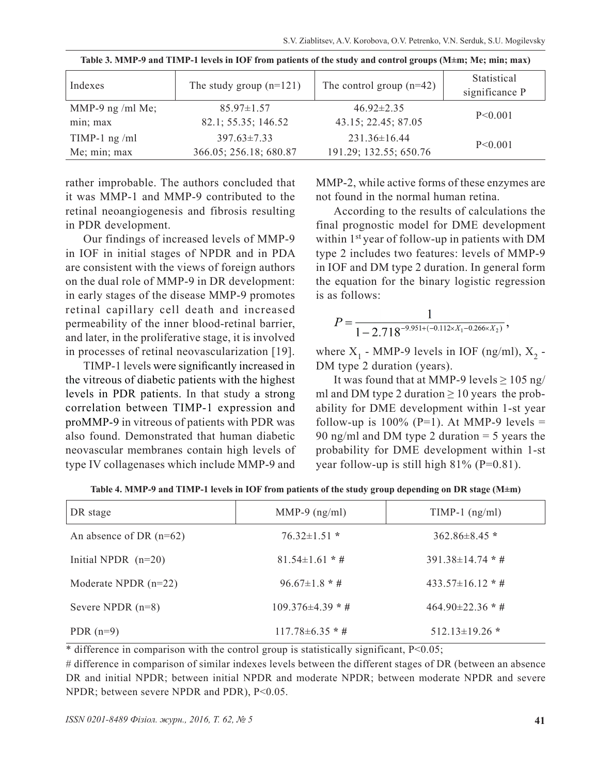| Indexes                      | The study group $(n=121)$               | The control group $(n=42)$              | Statistical<br>significance P |
|------------------------------|-----------------------------------------|-----------------------------------------|-------------------------------|
| MMP-9 ng /ml Me;<br>min; max | $85.97 \pm 1.57$<br>82.1; 55.35; 146.52 | $46.92 \pm 2.35$<br>43.15; 22.45; 87.05 | P < 0.001                     |
| TIMP-1 ng /ml                | $397.63 \pm 7.33$                       | $231.36 \pm 16.44$                      | P < 0.001                     |
| Me; min; max                 | 366.05; 256.18; 680.87                  | 191.29; 132.55; 650.76                  |                               |

**Table 3. MMP-9 and TIMP-1 levels in IOF from patients of the study and control groups (M±m; Me; min; max)**

rather improbable. The authors concluded that it was MMP-1 and MMP-9 contributed to the retinal neoangiogenesis and fibrosis resulting in PDR development.

Our findings of increased levels of MMP-9 in IOF in initial stages of NPDR and in PDA are consistent with the views of foreign authors on the dual role of MMP-9 in DR development: in early stages of the disease MMP-9 promotes retinal capillary cell death and increased permeability of the inner blood-retinal barrier, and later, in the proliferative stage, it is involved in processes of retinal neovascularization [19].

TIMP-1 levels were significantly increased in the vitreous of diabetic patients with the highest levels in PDR patients. In that study a strong correlation between TIMP-1 expression and proMMP-9 in vitreous of patients with PDR was also found. Demonstrated that human diabetic neovascular membranes contain high levels of type IV collagenases which include MMP-9 and MMP-2, while active forms of these enzymes are not found in the normal human retina.

According to the results of calculations the final prognostic model for DME development within 1<sup>st</sup> year of follow-up in patients with DM type 2 includes two features: levels of MMP-9 in IOF and DM type 2 duration. In general form the equation for the binary logistic regression is as follows:

$$
P=\frac{1}{1-2.718^{-9.951+(-0.112\times X_1-0.266\times X_2)}},
$$

where  $X_1$  - MMP-9 levels in IOF (ng/ml),  $X_2$  -DM type 2 duration (years).

It was found that at MMP-9 levels  $\geq 105$  ng/ ml and DM type 2 duration  $\geq 10$  years the probability for DME development within 1-st year follow-up is  $100\%$  (P=1). At MMP-9 levels = 90 ng/ml and DM type 2 duration = 5 years the probability for DME development within 1-st year follow-up is still high  $81\%$  (P=0.81).

| DR stage                  | MMP-9 $(ng/ml)$       | $TIMP-1$ (ng/ml)       |
|---------------------------|-----------------------|------------------------|
| An absence of DR $(n=62)$ | $76.32 \pm 1.51$ *    | $362.86 \pm 8.45$ *    |
| Initial NPDR $(n=20)$     | $81.54 \pm 1.61$ * #  | $391.38\pm14.74$ * #   |
| Moderate NPDR $(n=22)$    | $96.67\pm1.8*$ #      | $433.57\pm16.12$ * #   |
| Severe NPDR $(n=8)$       | $109.376\pm4.39$ * #  | 464.90 $\pm$ 22.36 * # |
| PDR $(n=9)$               | $117.78 \pm 6.35$ * # | $512.13 \pm 19.26$ *   |

**Table 4. MMP-9 and TIMP-1 levels in IOF from patients of the study group depending on DR stage (M±m)**

\* difference in comparison with the control group is statistically significant, P<0.05;

# difference in comparison of similar indexes levels between the different stages of DR (between an absence DR and initial NPDR; between initial NPDR and moderate NPDR; between moderate NPDR and severe NPDR; between severe NPDR and PDR), P<0.05.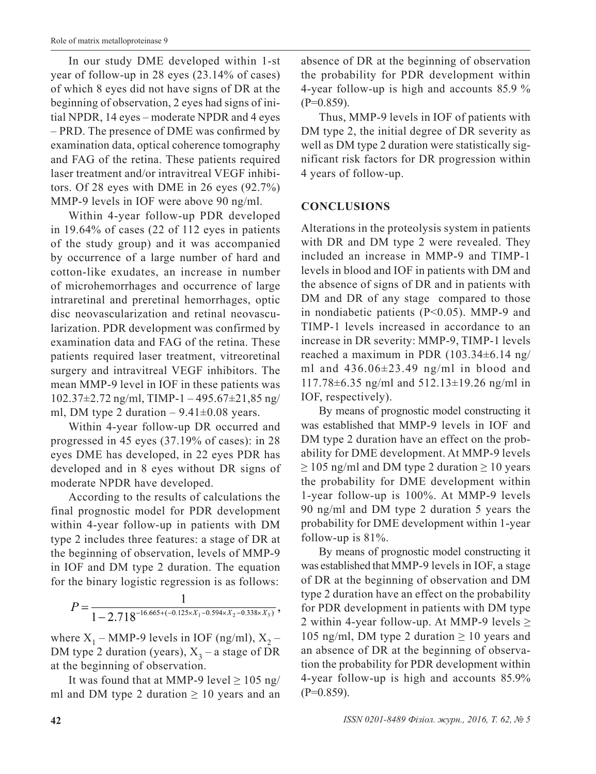In our study DME developed within 1-st year of follow-up in 28 eyes (23.14% of cases) of which 8 eyes did not have signs of DR at the beginning of observation, 2 eyes had signs of initial NPDR, 14 eyes – moderate NPDR and 4 eyes – PRD. The presence of DME was confirmed by examination data, optical coherence tomography and FAG of the retina. These patients required laser treatment and/or intravitreal VEGF inhibitors. Of 28 eyes with DME in 26 eyes (92.7%) MMP-9 levels in IOF were above 90 ng/ml.

Within 4-year follow-up PDR developed in 19.64% of cases (22 of 112 eyes in patients of the study group) and it was accompanied by occurrence of a large number of hard and cotton-like exudates, an increase in number of microhemorrhages and occurrence of large intraretinal and preretinal hemorrhages, optic disc neovascularization and retinal neovascularization. PDR development was confirmed by examination data and FAG of the retina. These patients required laser treatment, vitreoretinal surgery and intravitreal VEGF inhibitors. The mean MMP-9 level in IOF in these patients was  $102.37\pm2.72$  ng/ml, TIMP-1 - 495.67 $\pm21.85$  ng/ ml, DM type 2 duration  $-9.41\pm0.08$  years.

Within 4-year follow-up DR occurred and progressed in 45 eyes (37.19% of cases): in 28 eyes DME has developed, in 22 eyes PDR has developed and in 8 eyes without DR signs of moderate NPDR have developed.

According to the results of calculations the final prognostic model for PDR development within 4-year follow-up in patients with DM type 2 includes three features: a stage of DR at the beginning of observation, levels of MMP-9 in IOF and DM type 2 duration. The equation for the binary logistic regression is as follows:

$$
P=\frac{1}{1-2.718^{-16.665+(-0.125 \times X_1-0.594 \times X_2-0.338 \times X_3)}},
$$

where  $X_1$  – MMP-9 levels in IOF (ng/ml),  $X_2$  – DM type 2 duration (years),  $X_3$  – a stage of DR at the beginning of observation.

It was found that at MMP-9 level  $\geq 105$  ng/ ml and DM type 2 duration  $\geq 10$  years and an absence of DR at the beginning of observation the probability for PDR development within 4-year follow-up is high and accounts 85.9 %  $(P=0.859)$ .

Thus, MMP-9 levels in IOF of patients with DM type 2, the initial degree of DR severity as well as DM type 2 duration were statistically significant risk factors for DR progression within 4 years of follow-up.

### **CONCLUSIONS**

Alterations in the proteolysis system in patients with DR and DM type 2 were revealed. They included an increase in MMP-9 and TIMP-1 levels in blood and IOF in patients with DM and the absence of signs of DR and in patients with DM and DR of any stage compared to those in nondiabetic patients (P<0.05). MMP-9 and TIMP-1 levels increased in accordance to an increase in DR severity: MMP-9, TIMP-1 levels reached a maximum in PDR (103.34±6.14 ng/ ml and  $436.06\pm23.49$  ng/ml in blood and 117.78±6.35 ng/ml and 512.13±19.26 ng/ml in IOF, respectively).

By means of prognostic model constructing it was established that MMP-9 levels in IOF and DM type 2 duration have an effect on the probability for DME development. At MMP-9 levels  $\geq$  105 ng/ml and DM type 2 duration  $\geq$  10 years the probability for DME development within 1-year follow-up is 100%. At MMP-9 levels 90 ng/ml and DM type 2 duration 5 years the probability for DME development within 1-year follow-up is 81%.

By means of prognostic model constructing it was established that MMP-9 levels in IOF, a stage of DR at the beginning of observation and DM type 2 duration have an effect on the probability for PDR development in patients with DM type 2 within 4-year follow-up. At MMP-9 levels  $\geq$ 105 ng/ml, DM type 2 duration  $\geq 10$  years and an absence of DR at the beginning of observation the probability for PDR development within 4-year follow-up is high and accounts 85.9%  $(P=0.859)$ .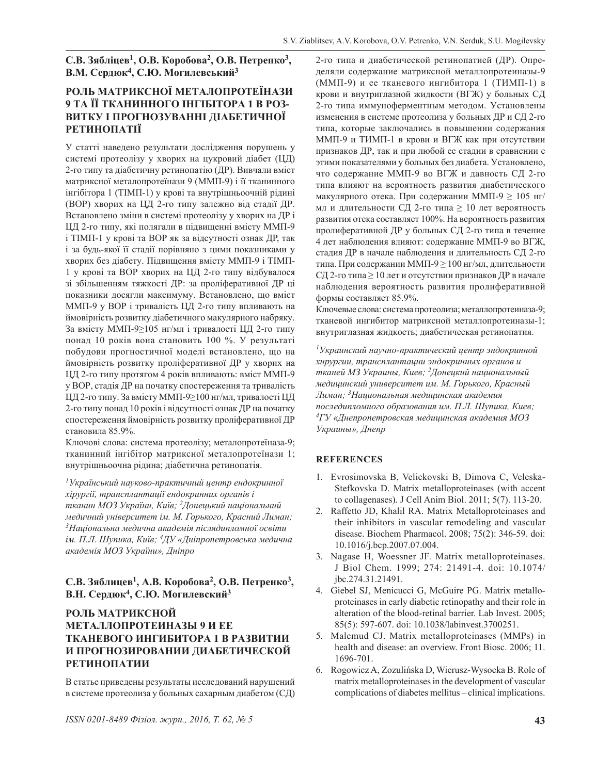#### **С.В. Зябліцев<sup>1</sup>, О.В. Коробова<sup>2</sup>, О.В. Петренко3, В.М. Сердюк<sup>4</sup>, С.Ю. Могилевський<sup>3</sup>**

#### **РОЛЬ МАТРИКСНОЇ МЕТАЛОПРОТЕЇНАЗИ 9 ТА ЇЇ ТКАНИННОГО ІНГІБІТОРА 1 В РОЗ-ВИТКУ І ПРОГНОЗУВАННІ ДІАБЕТИЧНОЇ РЕТИНОПАТІЇ**

У статті наведено результати дослідження порушень у системі протеолізу у хворих на цукровий діабет (ЦД) 2-го типу та діабетичну ретинопатію (ДР). Вивчали вміст матриксної металопротеїнази 9 (ММП-9) і її тканинного інгібітора 1 (ТІМП-1) у крові та внутрішньоочній рідині (ВОР) хворих на ЦД 2-го типу залежно від стадії ДР. Встановлено зміни в системі протеолізу у хворих на ДР і ЦД 2-го типу, які полягали в підвищенні вмісту ММП-9 і ТІМП-1 у крові та ВОР як за відсутності ознак ДР, так і за будь-якої її стадії порівняно з цими показниками у хворих без діабету. Підвищення вмісту ММП-9 і ТІМП-1 у крові та ВОР хворих на ЦД 2-го типу відбувалося зі збільшенням тяжкості ДР: за проліферативної ДР ці показники досягли максимуму. Встановлено, що вміст ММП-9 у ВОР і тривалість ЦД 2-го типу впливають на ймовірність розвитку діабетичного макулярного набряку. За вмісту ММП-9≥105 нг/мл і тривалості ЦД 2-го типу понад 10 років вона становить 100 %. У результаті побудови прогностичної моделі встановлено, що на ймовірність розвитку проліферативної ДР у хворих на ЦД 2-го типу протягом 4 років впливають: вміст ММП-9 у ВОР, стадія ДР на початку спостереження та тривалість ЦД 2-го типу. За вмісту ММП-9≥100 нг/мл, тривалості ЦД 2-го типу понад 10 років і відсутності ознак ДР на початку спостереження ймовірність розвитку проліферативної ДР становила 85.9%.

Ключові слова: система протеолізу; металопротеїназа-9; тканинний інгібітор матриксної металопротеїнази 1; внутрішньоочна рідина; діабетична ретинопатія.

*<sup>1</sup>Український науково-практичний центр ендокринної хірургії, трансплантації ендокринних органів і тканин МОЗ України, Київ; 2Донецький національний медичний університет ім. М. Горького, Красний Лиман; <sup>3</sup>Національна медична академія післядипломної освіти ім. П.Л. Шупика, Київ; 4ДУ «Дніпропетровська медична академія МОЗ України», Дніпро*

#### **С.В. Зяблицев<sup>1</sup>, А.В. Коробова<sup>2</sup>, О.В. Петренко3, В.Н. Сердюк<sup>4</sup>, С.Ю. Могилевский<sup>3</sup>**

#### **РОЛЬ МАТРИКСНОЙ МЕТАЛЛОПРОТЕИНАЗЫ 9 И ЕЕ ТКАНЕВОГО ИНГИБИТОРА 1 В РАЗВИТИИ И ПРОГНОЗИРОВАНИИ ДИАБЕТИЧЕСКОЙ РЕТИНОПАТИИ**

В статье приведены результаты исследований нарушений в системе протеолиза у больных сахарным диабетом (СД) 2-го типа и диабетической ретинопатией (ДР). Определяли содержание матриксной металлопротеиназы-9 (ММП-9) и ее тканевого ингибитора 1 (ТИМП-1) в крови и внутриглазной жидкости (ВГЖ) у больных СД 2-го типа иммуноферментным методом. Установлены изменения в системе протеолиза у больных ДР и СД 2-го типа, которые заключались в повышении содержания ММП-9 и ТИМП-1 в крови и ВГЖ как при отсутствии признаков ДР, так и при любой ее стадии в сравнении с этими показателями у больных без диабета. Установлено, что содержание ММП-9 во ВГЖ и давность СД 2-го типа влияют на вероятность развития диабетического макулярного отека. При содержании ММП-9  $> 105$  нг/ мл и длительности СД 2-го типа  $\geq 10$  лет вероятность развития отека составляет 100%. На вероятность развития пролиферативной ДР у больных СД 2-го типа в течение 4 лет наблюдения влияют: содержание ММП-9 во ВГЖ, стадия ДР в начале наблюдения и длительность СД 2-го типа. При содержании ММП-9 ≥ 100 нг/мл, длительности СД 2-го типа ≥ 10 лет и отсутствии признаков ДР в начале наблюдения вероятность развития пролиферативной формы составляет 85.9%.

Ключевые слова: система протеолиза; металлопротеиназа-9; тканевой ингибитор матриксной металлопротеиназы-1; внутриглазная жидкость; диабетическая ретинопатия.

*<sup>1</sup>Украинский научно-практический центр эндокринной хирургии, трансплантации эндокринных органов и тканей МЗ Украины, Киев; 2Донецкий национальный медицинский университет им. М. Горького, Красный Лиман; 3Национальная медицинская академия последипломного образования им. П.Л. Шупика, Киев; <sup>4</sup>ГУ «Днепропетровская медицинская академия МОЗ Украины», Днепр*

#### **REFERENCES**

- 1. Evrosimovska B, Velickovski B, Dimova C, Veleska-Stefkovska D. Matrix metalloproteinases (with accent to collagenases). J Cell Anim Biol. 2011; 5(7). 113-20.
- 2. Raffetto JD, Khalil RA. Matrix Metalloproteinases and their inhibitors in vascular remodeling and vascular disease. Biochem Pharmacol. 2008; 75(2): 346-59. doi: 10.1016/j.bcp.2007.07.004.
- 3. Nagase H, Woessner JF. Matrix metalloproteinases. J Biol Chem. 1999; 274: 21491-4. doi: 10.1074/ jbc.274.31.21491.
- 4. Giebel SJ, Menicucci G, McGuire PG. Matrix metalloproteinases in early diabetic retinopathy and their role in alteration of the blood-retinal barrier. Lab Invest. 2005; 85(5): 597-607. doi: 10.1038/labinvest.3700251.
- 5. Malemud CJ. Matrix metalloproteinases (MMPs) in health and disease: an overview. Front Biosc. 2006; 11. 1696-701.
- 6. Rogowicz A, Zozulińska D, Wierusz-Wysocka B. Role of matrix metalloproteinases in the development of vascular complications of diabetes mellitus – clinical implications.